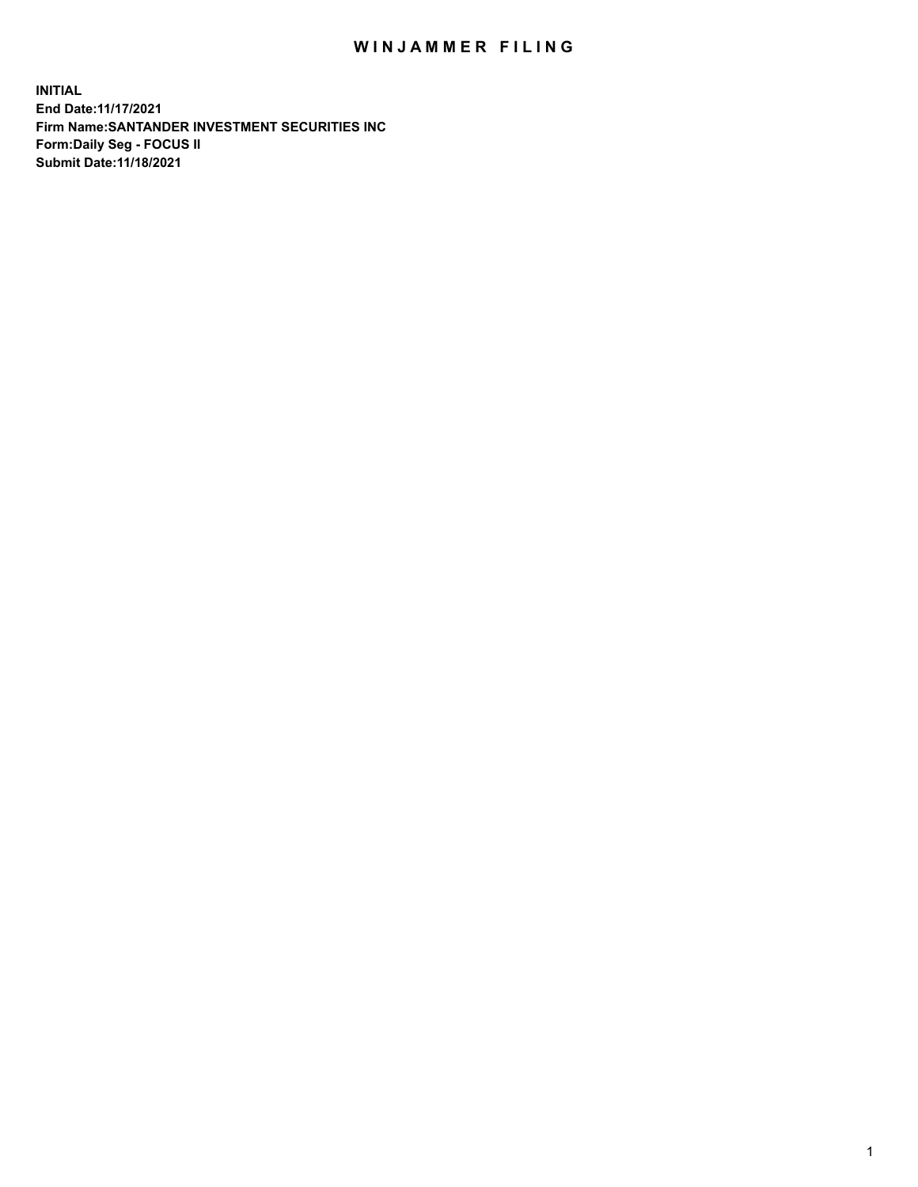## WIN JAMMER FILING

**INITIAL End Date:11/17/2021 Firm Name:SANTANDER INVESTMENT SECURITIES INC Form:Daily Seg - FOCUS II Submit Date:11/18/2021**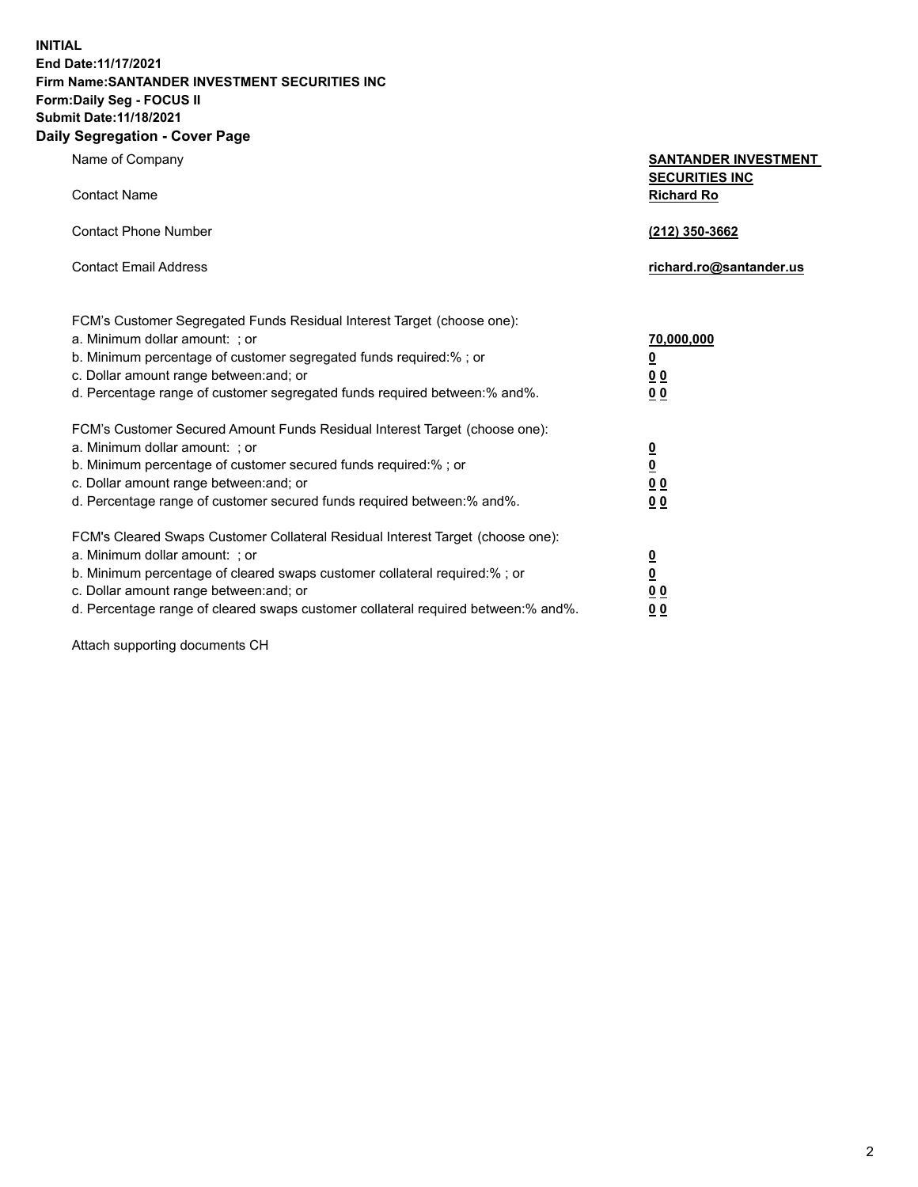**INITIAL End Date:11/17/2021 Firm Name:SANTANDER INVESTMENT SECURITIES INC Form:Daily Seg - FOCUS II Submit Date:11/18/2021 Daily Segregation - Cover Page**

| Name of Company                                                                                                                                                                                                                                                                                                                | <b>SANTANDER INVESTMENT</b>                                               |  |
|--------------------------------------------------------------------------------------------------------------------------------------------------------------------------------------------------------------------------------------------------------------------------------------------------------------------------------|---------------------------------------------------------------------------|--|
| <b>Contact Name</b>                                                                                                                                                                                                                                                                                                            | <b>SECURITIES INC</b><br><b>Richard Ro</b>                                |  |
| <b>Contact Phone Number</b>                                                                                                                                                                                                                                                                                                    | (212) 350-3662                                                            |  |
| <b>Contact Email Address</b>                                                                                                                                                                                                                                                                                                   | richard.ro@santander.us                                                   |  |
| FCM's Customer Segregated Funds Residual Interest Target (choose one):<br>a. Minimum dollar amount: ; or<br>b. Minimum percentage of customer segregated funds required:% ; or<br>c. Dollar amount range between: and; or<br>d. Percentage range of customer segregated funds required between:% and%.                         | 70,000,000<br>$\overline{\mathbf{0}}$<br>0 <sub>0</sub><br>0 <sub>0</sub> |  |
| FCM's Customer Secured Amount Funds Residual Interest Target (choose one):<br>a. Minimum dollar amount: ; or<br>b. Minimum percentage of customer secured funds required:%; or<br>c. Dollar amount range between: and; or<br>d. Percentage range of customer secured funds required between:% and%.                            | $\frac{0}{0}$<br>0 <sub>0</sub><br>0 <sub>0</sub>                         |  |
| FCM's Cleared Swaps Customer Collateral Residual Interest Target (choose one):<br>a. Minimum dollar amount: ; or<br>b. Minimum percentage of cleared swaps customer collateral required:% ; or<br>c. Dollar amount range between: and; or<br>d. Percentage range of cleared swaps customer collateral required between:% and%. | $\frac{0}{0}$<br>0 <sub>0</sub><br>0 <sub>0</sub>                         |  |

Attach supporting documents CH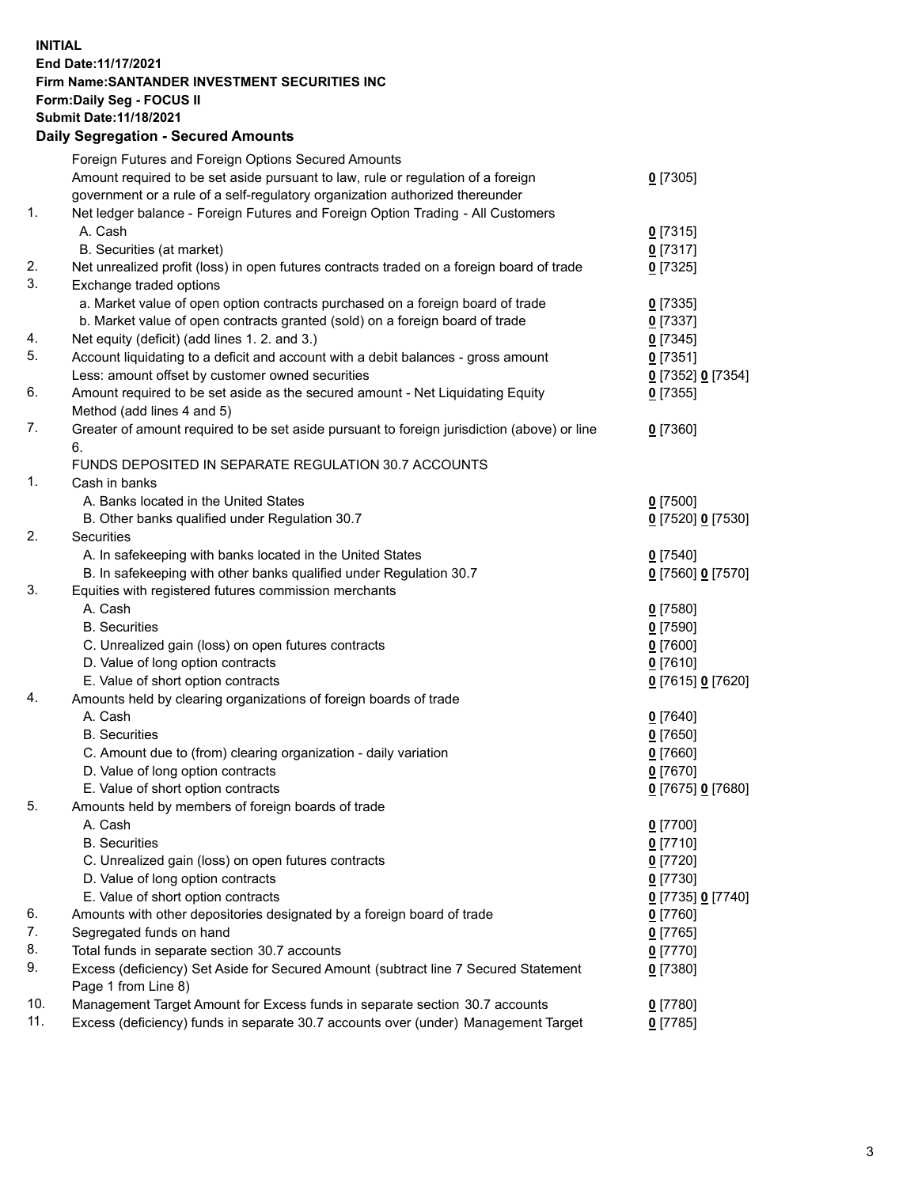## **INITIAL End Date:11/17/2021 Firm Name:SANTANDER INVESTMENT SECURITIES INC Form:Daily Seg - FOCUS II Submit Date:11/18/2021 Daily Segregation - Secured Amounts**

|     | Foreign Futures and Foreign Options Secured Amounts                                         |                   |
|-----|---------------------------------------------------------------------------------------------|-------------------|
|     | Amount required to be set aside pursuant to law, rule or regulation of a foreign            | $0$ [7305]        |
|     | government or a rule of a self-regulatory organization authorized thereunder                |                   |
| 1.  | Net ledger balance - Foreign Futures and Foreign Option Trading - All Customers             |                   |
|     | A. Cash                                                                                     | $0$ [7315]        |
|     | B. Securities (at market)                                                                   | $0$ [7317]        |
| 2.  | Net unrealized profit (loss) in open futures contracts traded on a foreign board of trade   | $0$ [7325]        |
| 3.  | Exchange traded options                                                                     |                   |
|     | a. Market value of open option contracts purchased on a foreign board of trade              | $0$ [7335]        |
|     | b. Market value of open contracts granted (sold) on a foreign board of trade                | $0$ [7337]        |
| 4.  | Net equity (deficit) (add lines 1. 2. and 3.)                                               | $0$ [7345]        |
| 5.  | Account liquidating to a deficit and account with a debit balances - gross amount           | $0$ [7351]        |
|     | Less: amount offset by customer owned securities                                            | 0 [7352] 0 [7354] |
| 6.  | Amount required to be set aside as the secured amount - Net Liquidating Equity              | $0$ [7355]        |
|     | Method (add lines 4 and 5)                                                                  |                   |
| 7.  | Greater of amount required to be set aside pursuant to foreign jurisdiction (above) or line | $0$ [7360]        |
|     | 6.                                                                                          |                   |
|     | FUNDS DEPOSITED IN SEPARATE REGULATION 30.7 ACCOUNTS                                        |                   |
| 1.  | Cash in banks                                                                               |                   |
|     | A. Banks located in the United States                                                       | $0$ [7500]        |
|     | B. Other banks qualified under Regulation 30.7                                              | 0 [7520] 0 [7530] |
| 2.  | Securities                                                                                  |                   |
|     | A. In safekeeping with banks located in the United States                                   | $0$ [7540]        |
|     | B. In safekeeping with other banks qualified under Regulation 30.7                          | 0 [7560] 0 [7570] |
| 3.  | Equities with registered futures commission merchants                                       |                   |
|     | A. Cash                                                                                     | $0$ [7580]        |
|     | <b>B.</b> Securities                                                                        | $0$ [7590]        |
|     | C. Unrealized gain (loss) on open futures contracts                                         | $0$ [7600]        |
|     | D. Value of long option contracts                                                           | $0$ [7610]        |
|     | E. Value of short option contracts                                                          | 0 [7615] 0 [7620] |
| 4.  | Amounts held by clearing organizations of foreign boards of trade                           |                   |
|     | A. Cash                                                                                     | $0$ [7640]        |
|     | <b>B.</b> Securities                                                                        | $0$ [7650]        |
|     | C. Amount due to (from) clearing organization - daily variation                             | $0$ [7660]        |
|     | D. Value of long option contracts                                                           | $0$ [7670]        |
|     | E. Value of short option contracts                                                          | 0 [7675] 0 [7680] |
| 5.  | Amounts held by members of foreign boards of trade                                          |                   |
|     | A. Cash                                                                                     | $0$ [7700]        |
|     | <b>B.</b> Securities                                                                        | $0$ [7710]        |
|     | C. Unrealized gain (loss) on open futures contracts                                         | $0$ [7720]        |
|     | D. Value of long option contracts                                                           | $0$ [7730]        |
|     | E. Value of short option contracts                                                          | 0 [7735] 0 [7740] |
| 6.  | Amounts with other depositories designated by a foreign board of trade                      | 0 [7760]          |
| 7.  | Segregated funds on hand                                                                    | $0$ [7765]        |
| 8.  | Total funds in separate section 30.7 accounts                                               | 0 [7770]          |
| 9.  | Excess (deficiency) Set Aside for Secured Amount (subtract line 7 Secured Statement         | $0$ [7380]        |
|     | Page 1 from Line 8)                                                                         |                   |
| 10. | Management Target Amount for Excess funds in separate section 30.7 accounts                 | $0$ [7780]        |
| 11. | Excess (deficiency) funds in separate 30.7 accounts over (under) Management Target          | $0$ [7785]        |
|     |                                                                                             |                   |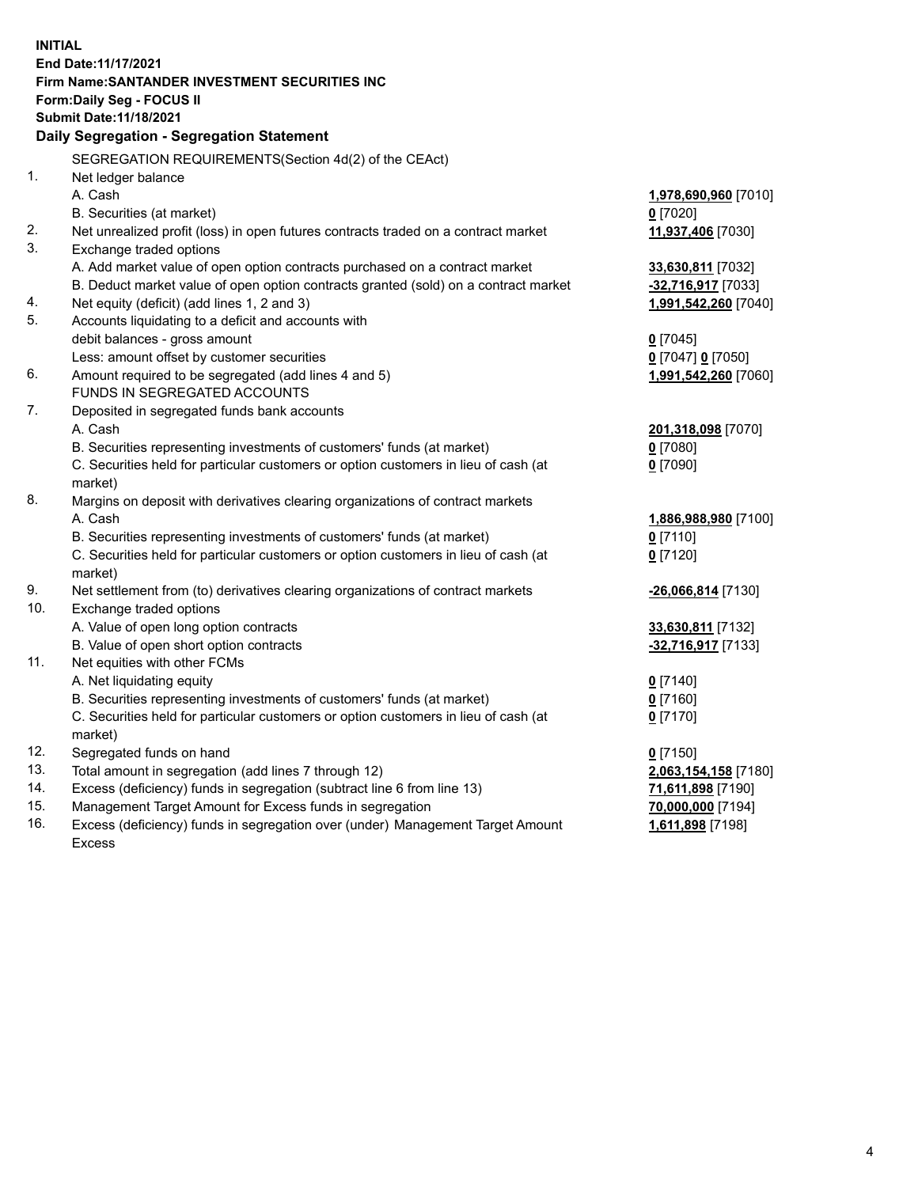| <b>INITIAL</b> |                                                                                     |                      |
|----------------|-------------------------------------------------------------------------------------|----------------------|
|                | End Date: 11/17/2021                                                                |                      |
|                | Firm Name: SANTANDER INVESTMENT SECURITIES INC                                      |                      |
|                | Form: Daily Seg - FOCUS II                                                          |                      |
|                | <b>Submit Date: 11/18/2021</b>                                                      |                      |
|                | Daily Segregation - Segregation Statement                                           |                      |
|                | SEGREGATION REQUIREMENTS(Section 4d(2) of the CEAct)                                |                      |
| 1.             | Net ledger balance                                                                  |                      |
|                | A. Cash                                                                             | 1,978,690,960 [7010] |
|                | B. Securities (at market)                                                           | $0$ [7020]           |
| 2.             | Net unrealized profit (loss) in open futures contracts traded on a contract market  | 11,937,406 [7030]    |
| 3.             | Exchange traded options                                                             |                      |
|                | A. Add market value of open option contracts purchased on a contract market         | 33,630,811 [7032]    |
|                | B. Deduct market value of open option contracts granted (sold) on a contract market | -32,716,917 [7033]   |
| 4.             | Net equity (deficit) (add lines 1, 2 and 3)                                         | 1,991,542,260 [7040] |
| 5.             | Accounts liquidating to a deficit and accounts with                                 |                      |
|                | debit balances - gross amount                                                       | $0$ [7045]           |
|                | Less: amount offset by customer securities                                          | 0 [7047] 0 [7050]    |
| 6.             | Amount required to be segregated (add lines 4 and 5)                                | 1,991,542,260 [7060] |
|                | FUNDS IN SEGREGATED ACCOUNTS                                                        |                      |
| 7.             | Deposited in segregated funds bank accounts                                         |                      |
|                | A. Cash                                                                             | 201,318,098 [7070]   |
|                | B. Securities representing investments of customers' funds (at market)              | $0$ [7080]           |
|                | C. Securities held for particular customers or option customers in lieu of cash (at | $0$ [7090]           |
|                | market)                                                                             |                      |
| 8.             | Margins on deposit with derivatives clearing organizations of contract markets      |                      |
|                | A. Cash                                                                             | 1,886,988,980 [7100] |
|                | B. Securities representing investments of customers' funds (at market)              | $0$ [7110]           |
|                | C. Securities held for particular customers or option customers in lieu of cash (at | $0$ [7120]           |
|                | market)                                                                             |                      |
| 9.             | Net settlement from (to) derivatives clearing organizations of contract markets     | -26,066,814 [7130]   |
| 10.            | Exchange traded options                                                             |                      |
|                | A. Value of open long option contracts                                              | 33,630,811 [7132]    |
|                | B. Value of open short option contracts                                             | -32,716,917 [7133]   |
| 11.            | Net equities with other FCMs                                                        |                      |
|                | A. Net liquidating equity                                                           | $0$ [7140]           |
|                | B. Securities representing investments of customers' funds (at market)              | $0$ [7160]           |
|                | C. Securities held for particular customers or option customers in lieu of cash (at | $0$ [7170]           |
|                | market)                                                                             |                      |
| 12.            | Segregated funds on hand                                                            | $0$ [7150]           |
| 13.            | Total amount in segregation (add lines 7 through 12)                                | 2,063,154,158 [7180] |
| 14.            | Excess (deficiency) funds in segregation (subtract line 6 from line 13)             | 71,611,898 [7190]    |
| 15.            | Management Target Amount for Excess funds in segregation                            | 70,000,000 [7194]    |
| 16.            | Excess (deficiency) funds in segregation over (under) Management Target Amount      | 1,611,898 [7198]     |
|                | Excess                                                                              |                      |